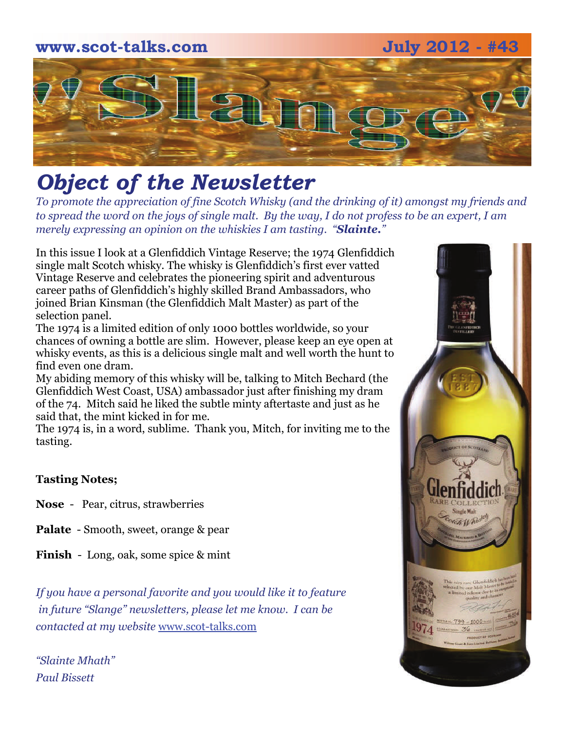# **www.scot-talks.com July 2012 - #43**  $\lfloor 2 \rfloor$

# *Object of the Newsletter*

*To promote the appreciation of fine Scotch Whisky (and the drinking of it) amongst my friends and to spread the word on the joys of single malt. By the way, I do not profess to be an expert, I am merely expressing an opinion on the whiskies I am tasting. "Slainte."* 

In this issue I look at a Glenfiddich Vintage Reserve; the 1974 Glenfiddich single malt Scotch whisky. The whisky is Glenfiddich's first ever vatted Vintage Reserve and celebrates the pioneering spirit and adventurous career paths of Glenfiddich's highly skilled Brand Ambassadors, who joined Brian Kinsman (the Glenfiddich Malt Master) as part of the selection panel.

The 1974 is a limited edition of only 1000 bottles worldwide, so your chances of owning a bottle are slim. However, please keep an eye open at whisky events, as this is a delicious single malt and well worth the hunt to find even one dram.

My abiding memory of this whisky will be, talking to Mitch Bechard (the Glenfiddich West Coast, USA) ambassador just after finishing my dram of the 74. Mitch said he liked the subtle minty aftertaste and just as he said that, the mint kicked in for me.

The 1974 is, in a word, sublime. Thank you, Mitch, for inviting me to the tasting.

## **Tasting Notes;**

- **Nose**  Pear, citrus, strawberries
- **Palate**  Smooth, sweet, orange & pear
- **Finish**  Long, oak, some spice & mint

*If you have a personal favorite and you would like it to feature in future "Slange" newsletters, please let me know. I can be contacted at my website* [www.scot-talks.com](http://www.scot-talks.com/default.html)

*"Slainte Mhath" Paul Bissett*

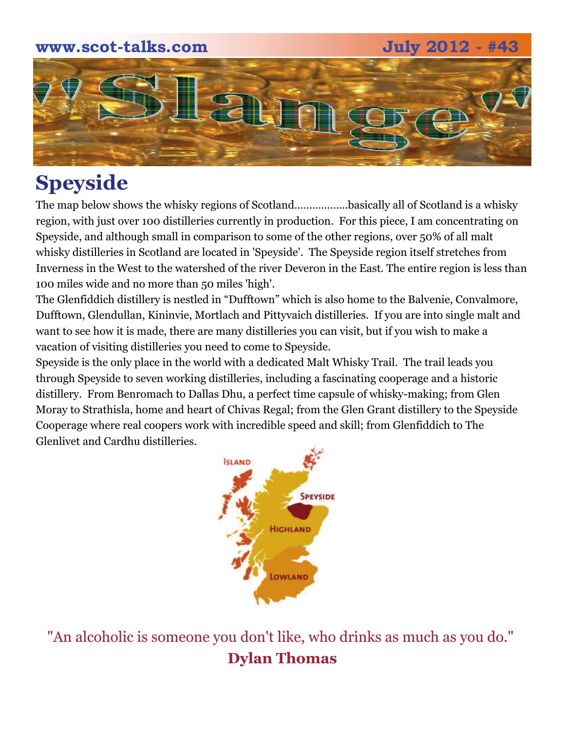## **www.scot-talks.com July 2012 - #43**





## **Speyside**

The map below shows the whisky regions of Scotland……………...basically all of Scotland is a whisky region, with just over 100 distilleries currently in production. For this piece, I am concentrating on Speyside, and although small in comparison to some of the other regions, over 50% of all malt whisky distilleries in Scotland are located in 'Speyside'. The Speyside region itself stretches from Inverness in the West to the watershed of the river Deveron in the East. The entire region is less than 100 miles wide and no more than 50 miles 'high'.

The Glenfiddich distillery is nestled in "Dufftown" which is also home to the Balvenie, Convalmore, Dufftown, Glendullan, Kininvie, Mortlach and Pittyvaich distilleries. If you are into single malt and want to see how it is made, there are many distilleries you can visit, but if you wish to make a vacation of visiting distilleries you need to come to Speyside.

Speyside is the only place in the world with a dedicated Malt Whisky Trail. The trail leads you through Speyside to seven working distilleries, including a fascinating cooperage and a historic distillery. From Benromach to Dallas Dhu, a perfect time capsule of whisky-making; from Glen Moray to Strathisla, home and heart of Chivas Regal; from the Glen Grant distillery to the Speyside Cooperage where real coopers work with incredible speed and skill; from Glenfiddich to The Glenlivet and Cardhu distilleries.



"An alcoholic is someone you don't like, who drinks as much as you do." **Dylan Thomas**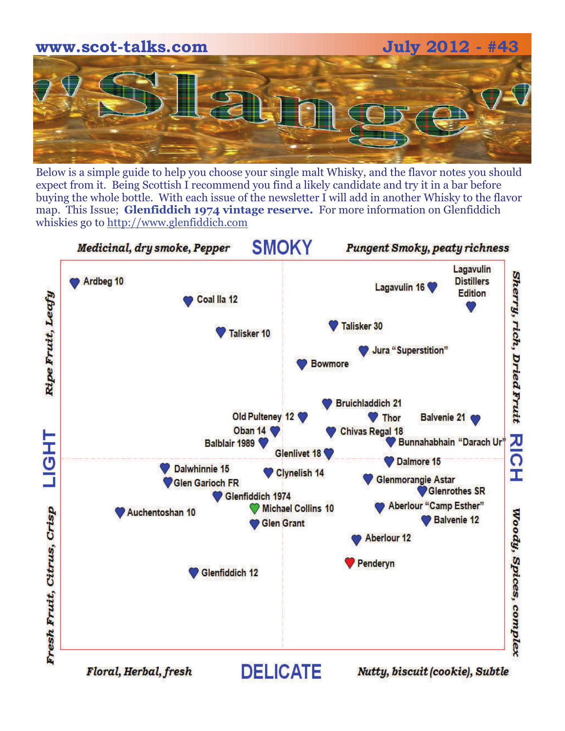

Below is a simple guide to help you choose your single malt Whisky, and the flavor notes you should expect from it. Being Scottish I recommend you find a likely candidate and try it in a bar before buying the whole bottle. With each issue of the newsletter I will add in another Whisky to the flavor map. This Issue; **Glenfiddich 1974 vintage reserve.** For more information on Glenfiddich whiskies go to [http://www.glenfiddich.com](http://www.glenfiddich.com/)